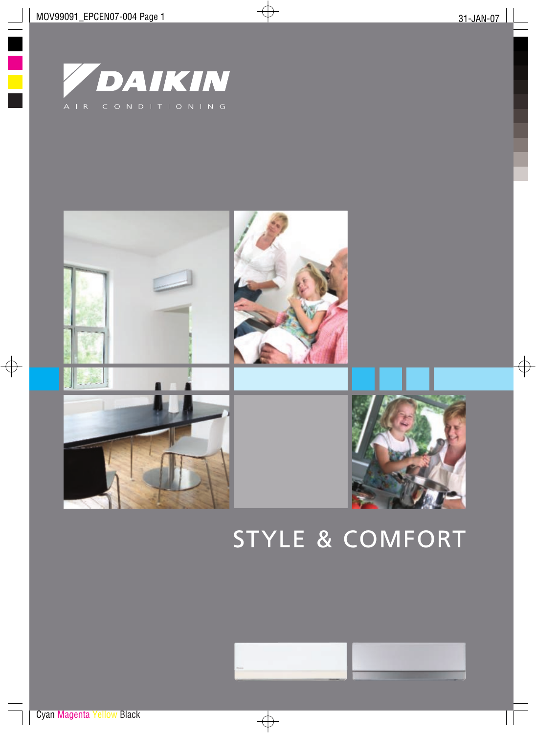



# STYLE & COMFORT

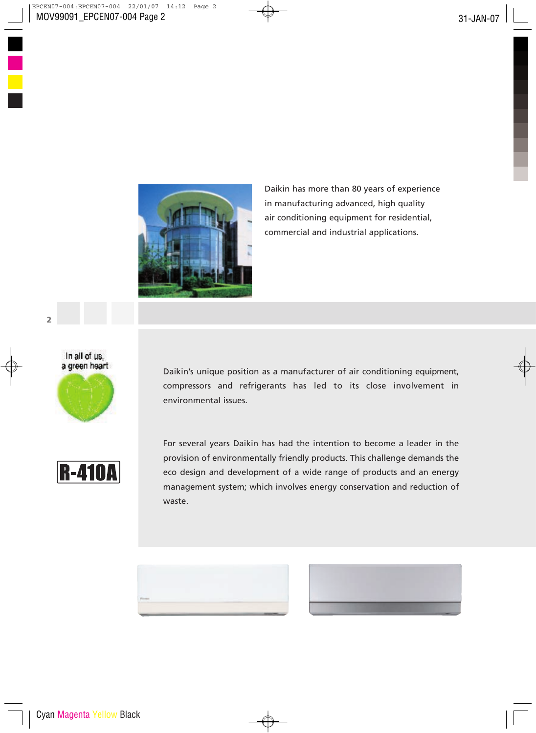

Daikin has more than 80 years of experience in manufacturing advanced, high quality air conditioning equipment for residential, commercial and industrial applications.



Daikin's unique position as a manufacturer of air conditioning equipment, compressors and refrigerants has led to its close involvement in environmental issues.



For several years Daikin has had the intention to become a leader in the provision of environmentally friendly products. This challenge demands the eco design and development of a wide range of products and an energy management system; which involves energy conservation and reduction of waste.



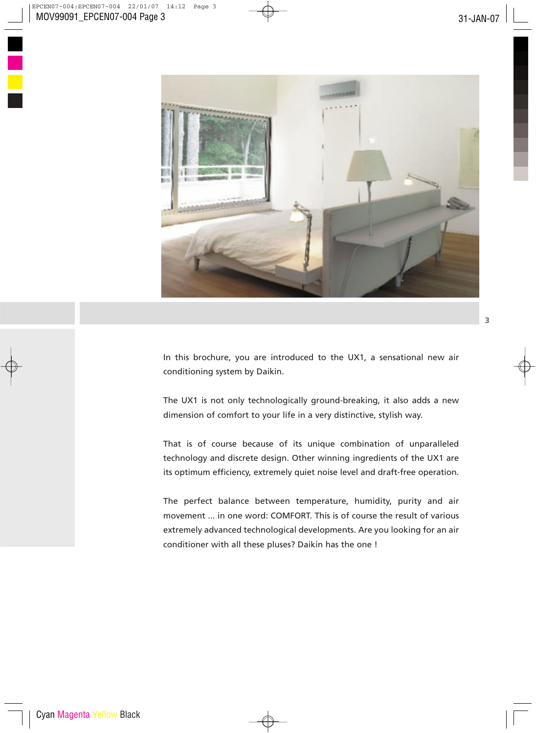

In this brochure, you are introduced to the UX1, a sensational new air conditioning system by Daikin.

The UX1 is not only technologically ground-breaking, it also adds a new dimension of comfort to your life in a very distinctive, stylish way.

That is of course because of its unique combination of unparalleled technology and discrete design. Other winning ingredients of the UX1 are its optimum efficiency, extremely quiet noise level and draft-free operation.

The perfect balance between temperature, humidity, purity and air movement ... in one word: COMFORT. This is of course the result of various extremely advanced technological developments. Are you looking for an air conditioner with all these pluses? Daikin has the one !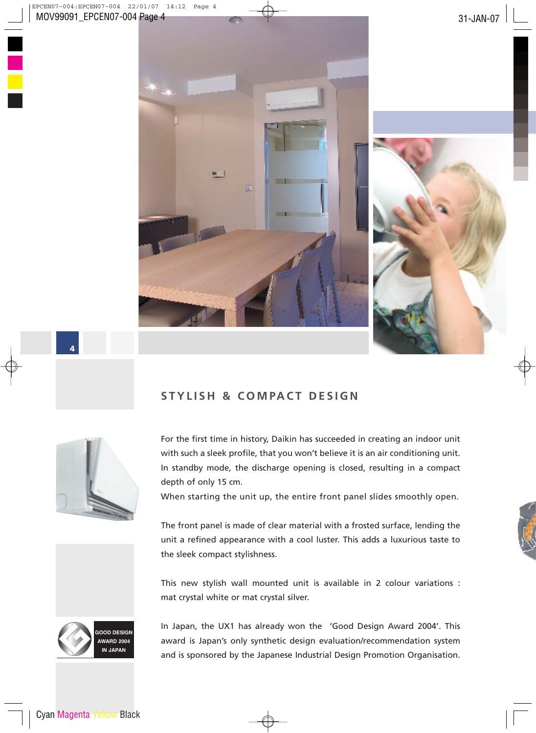



4

# **S TY L I S H & C O M PA C T D E S I G N**



For the first time in history, Daikin has succeeded in creating an indoor unit with such a sleek profile, that you won't believe it is an air conditioning unit. In standby mode, the discharge opening is closed, resulting in a compact depth of only 15 cm.

When starting the unit up, the entire front panel slides smoothly open.

The front panel is made of clear material with a frosted surface, lending the unit a refined appearance with a cool luster. This adds a luxurious taste to the sleek compact stylishness.

This new stylish wall mounted unit is available in 2 colour variations : mat crystal white or mat crystal silver.



In Japan, the UX1 has already won the 'Good Design Award 2004'. This award is Japan's only synthetic design evaluation/recommendation system and is sponsored by the Japanese Industrial Design Promotion Organisation.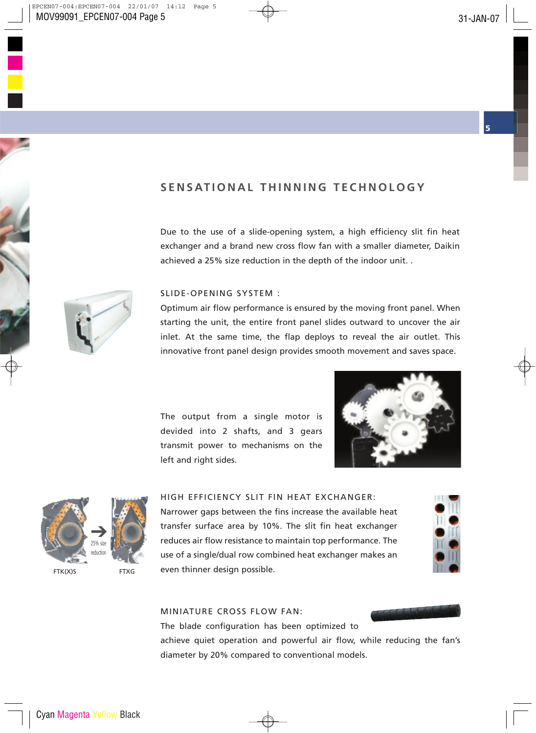# SENSATIONAL THINNING TECHNOLOGY

Due to the use of a slide-opening system, a high efficiency slit fin heat exchanger and a brand new cross flow fan with a smaller diameter, Daikin achieved a 25% size reduction in the depth of the indoor unit. .



#### SLIDE-OPENING SYSTEM :

Optimum air flow performance is ensured by the moving front panel. When starting the unit, the entire front panel slides outward to uncover the air inlet. At the same time, the flap deploys to reveal the air outlet. This innovative front panel design provides smooth movement and saves space.

The output from a single motor is devided into 2 shafts, and 3 gears transmit power to mechanisms on the left and right sides.





#### HIGH EFFICIENCY SLIT FIN HEAT EXCHANGER:

Narrower gaps between the fins increase the available heat transfer surface area by 10%. The slit fin heat exchanger reduces air flow resistance to maintain top performance. The use of a single/dual row combined heat exchanger makes an even thinner design possible.



#### MINIATURE CROSS FLOW FAN:

The blade configuration has been optimized to

achieve quiet operation and powerful air flow, while reducing the fan's diameter by 20% compared to conventional models.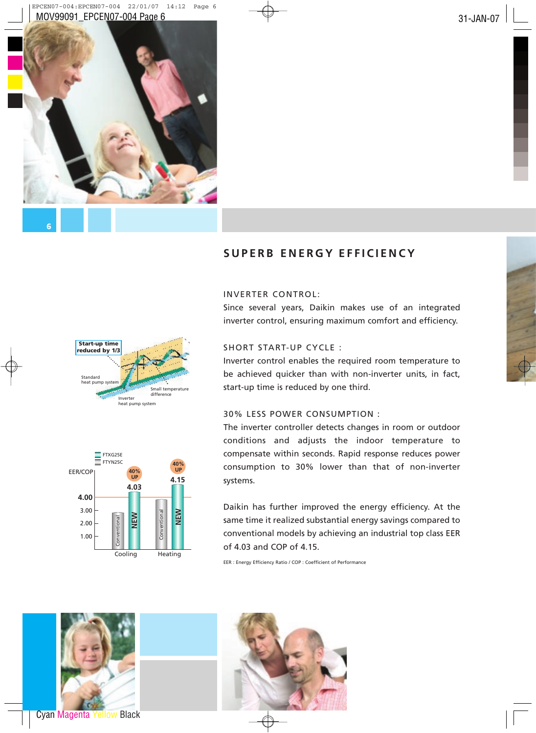

# **S U P E R B E N E R G Y E F F I C I E N CY**

#### INVERTER CONTROL:

Since several years, Daikin makes use of an integrated inverter control, ensuring maximum comfort and efficiency.



Inverter control enables the required room temperature to be achieved quicker than with non-inverter units, in fact, start-up time is reduced by one third.

## 30% LESS POWER CONSUMPTION :

The inverter controller detects changes in room or outdoor conditions and adjusts the indoor temperature to compensate within seconds. Rapid response reduces power consumption to 30% lower than that of non-inverter systems.

Daikin has further improved the energy efficiency. At the same time it realized substantial energy savings compared to conventional models by achieving an industrial top class EER of 4.03 and COP of 4.15.

EER : Energy Efficiency Ratio / COP : Coefficient of Performance







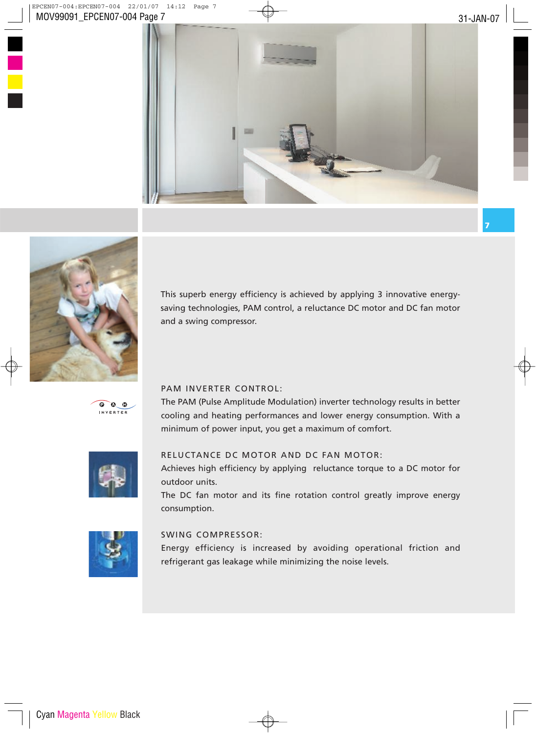



This superb energy efficiency is achieved by applying 3 innovative energysaving technologies, PAM control, a reluctance DC motor and DC fan motor and a swing compressor.



## PAM INVERTER CONTROL:

The PAM (Pulse Amplitude Modulation) inverter technology results in better cooling and heating performances and lower energy consumption. With a minimum of power input, you get a maximum of comfort.



## RELUCTANCE DC MOTOR AND DC FAN MOTOR:

Achieves high efficiency by applying reluctance torque to a DC motor for outdoor units.

The DC fan motor and its fine rotation control greatly improve energy consumption.



## SWING COMPRESSOR:

Energy efficiency is increased by avoiding operational friction and refrigerant gas leakage while minimizing the noise levels.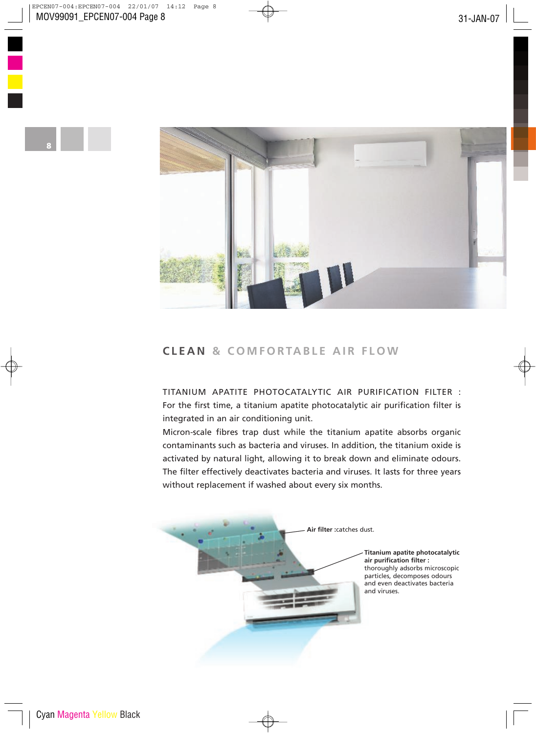

# **C L E A N & C O M F O RTA B L E A I R F L OW**

TITANIUM APATITE PHOTOCATALYTIC AIR PURIFICATION FILTER : For the first time, a titanium apatite photocatalytic air purification filter is integrated in an air conditioning unit.

Micron-scale fibres trap dust while the titanium apatite absorbs organic contaminants such as bacteria and viruses. In addition, the titanium oxide is activated by natural light, allowing it to break down and eliminate odours. The filter effectively deactivates bacteria and viruses. It lasts for three years without replacement if washed about every six months.



**Titanium apatite photocatalytic air purification filter :** thoroughly adsorbs microscopic particles, decomposes odours and even deactivates bacteria and viruses.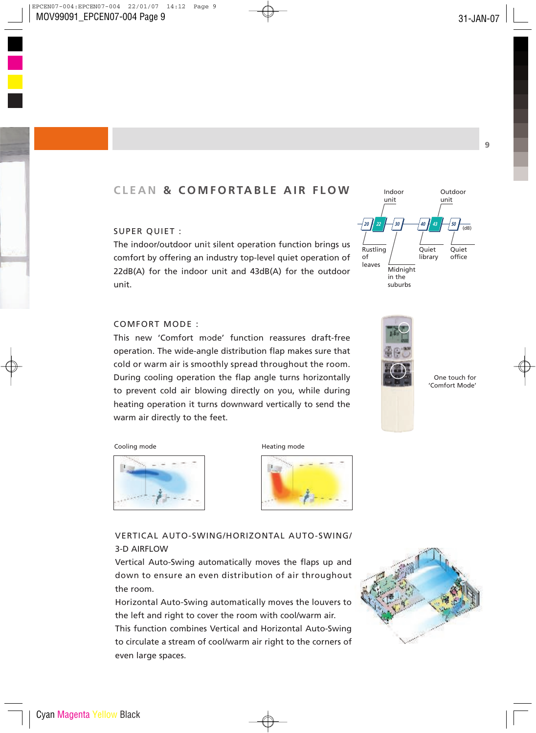# **C L E A N & C O M F O RTA B L E A I R F L OW**

## SUPER QUIET :

The indoor/outdoor unit silent operation function brings us comfort by offering an industry top-level quiet operation of 22dB(A) for the indoor unit and 43dB(A) for the outdoor unit.



This new 'Comfort mode' function reassures draft-free operation. The wide-angle distribution flap makes sure that cold or warm air is smoothly spread throughout the room. During cooling operation the flap angle turns horizontally to prevent cold air blowing directly on you, while during heating operation it turns downward vertically to send the warm air directly to the feet.





One touch for 'Comfort Mode'

Cooling mode **Heating mode** Heating mode







VERTICAL AUTO-SWING/HORIZONTAL AUTO-SWING/ 3-D AIRFLOW

Vertical Auto-Swing automatically moves the flaps up and down to ensure an even distribution of air throughout the room.

Horizontal Auto-Swing automatically moves the louvers to the left and right to cover the room with cool/warm air. This function combines Vertical and Horizontal Auto-Swing to circulate a stream of cool/warm air right to the corners of even large spaces.

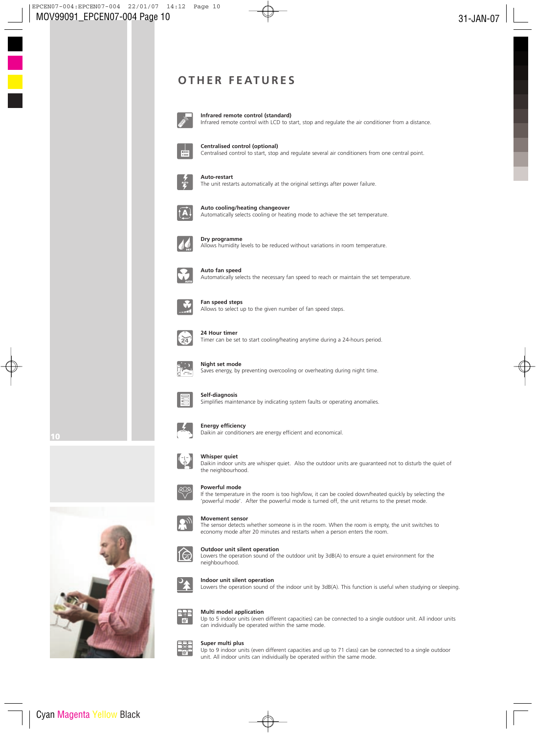# **O T H E R F E AT U R E S**



**Infrared remote control (standard)** Infrared remote control with LCD to start, stop and regulate the air conditioner from a distance.



**Centralised control (optional)**

Centralised control to start, stop and regulate several air conditioners from one central point.



#### **Auto-restart**

The unit restarts automatically at the original settings after power failure.



**Auto cooling/heating changeover** Automatically selects cooling or heating mode to achieve the set temperature.



**Dry programme** Allows humidity levels to be reduced without variations in room temperature.



**Auto fan speed** Automatically selects the necessary fan speed to reach or maintain the set temperature.



**Fan speed steps** Allows to select up to the given number of fan speed steps.



#### **24 Hour timer**

Timer can be set to start cooling/heating anytime during a 24-hours period.



#### **Night set mode**

Saves energy, by preventing overcooling or overheating during night time.



#### **Self-diagnosis**

Simplifies maintenance by indicating system faults or operating anomalies.



#### **Energy efficiency**

Daikin air conditioners are energy efficient and economical.



#### **Whisper quiet**

Daikin indoor units are whisper quiet. Also the outdoor units are guaranteed not to disturb the quiet of the neighbourhood.



#### **Powerful mode**

If the temperature in the room is too high/low, it can be cooled down/heated quickly by selecting the 'powerful mode'. After the powerful mode is turned off, the unit returns to the preset mode.



10

## **Movement sensor**

The sensor detects whether someone is in the room. When the room is empty, the unit switches to economy mode after 20 minutes and restarts when a person enters the room.



Lowers the operation sound of the outdoor unit by 3dB(A) to ensure a quiet environment for the neighbourhood.



#### **Indoor unit silent operation**

Lowers the operation sound of the indoor unit by 3dB(A). This function is useful when studying or sleeping.



#### **Multi model application**

Up to 5 indoor units (even different capacities) can be connected to a single outdoor unit. All indoor units can individually be operated within the same mode.



#### **Super multi plus**

Up to 9 indoor units (even different capacities and up to 71 class) can be connected to a single outdoor unit. All indoor units can individually be operated within the same mode.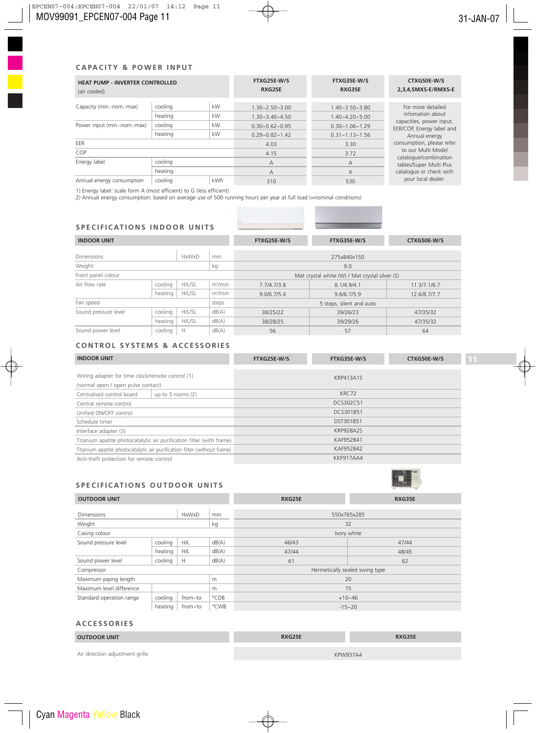#### **C A PA C I TY & P OW E R I N P U T**

| <b>HEAT PUMP - INVERTER CONTROLLED</b><br>(air cooled) |                    |                              | FTXG25E-W/S<br>RXG25E                        | FTXG35E-W/S<br>RXG35E                                                                     | CTXG50E-W/S<br>2,3,4,5MXS-E/RMXS-E                    |  |
|--------------------------------------------------------|--------------------|------------------------------|----------------------------------------------|-------------------------------------------------------------------------------------------|-------------------------------------------------------|--|
| Capacity (min.-nom.-max)                               | cooling<br>heating | kW<br>kW                     | $1.30 - 2.50 - 3.00$<br>$1.30 - 3.40 - 4.50$ | $1.40 - 3.50 - 3.80$<br>$1.40 - 4.20 - 5.00$                                              | For more detailed<br>infomation about                 |  |
| Power input (min.-nom.-max)                            | cooling<br>heating | kW<br>kW                     | $0.30 - 0.62 - 0.95$                         | $0.30 - 1.06 - 1.29$                                                                      | capacities, power input,<br>EER/COP, Energy label and |  |
| EER                                                    |                    | $0.29 - 0.82 - 1.42$<br>4.03 | $0.31 - 1.13 - 1.56$<br>3.30                 | Annual energy<br>consumption, please refer<br>to our Multi Model<br>catalogue/combination |                                                       |  |
| COP                                                    |                    |                              | 4.15                                         |                                                                                           | 3.72                                                  |  |
| Energy label                                           | cooling            |                              | A                                            | A                                                                                         | tables/Super Multi Plus<br>catalogue or check with    |  |
|                                                        | heating            |                              | A                                            | A                                                                                         |                                                       |  |
| Annual energy consumption                              | cooling            | <b>kWh</b>                   | 310                                          | 530                                                                                       | your local dealer.                                    |  |

1) Energy label: scale form A (most efficient) to G (less efficient)

2) Annual energy consumption: based on average use of 500 running hours per year at full load (=nominal conditions)

#### **S P E C I F I C AT I O N S I N D O O R U N I T S**

| <b>INDOOR UNIT</b>   |         |              |                          | FTXG25E-W/S                                    | FTXG35E-W/S | CTXG50E-W/S  |  |
|----------------------|---------|--------------|--------------------------|------------------------------------------------|-------------|--------------|--|
| Dimensions           |         | <b>HxWxD</b> | mm                       | 275x840x150                                    |             |              |  |
| Weight<br>kg         |         |              |                          | 9.0                                            |             |              |  |
| Front panel colour   |         |              |                          | Mat crystal white (W) / Mat crystal silver (S) |             |              |  |
| Air flow rate        | cooling | H/L/SL       | m <sup>3</sup> /min      | 7.7/4.7/3.8                                    | 8.1/4.9/4.1 | 11.3/7.1/6.7 |  |
|                      | heating | H/L/SL       | m <sup>3</sup> /min      | 9.0/6.7/5.4                                    | 9.6/6.7/5.9 | 12.6/8.7/7.7 |  |
| Fan speed<br>steps   |         |              | 5 steps, silent and auto |                                                |             |              |  |
| Sound pressure level | cooling | H/L/SL       | dB(A)                    | 38/25/22                                       | 39/26/23    | 47/35/32     |  |
|                      | heating | H/L/SL       | dB(A)                    | 38/28/25                                       | 39/29/26    | 47/35/32     |  |
| Sound power level    | cooling | Н            | dB(A)                    | 56                                             | 57          | 64           |  |

### **CON T ROL SYS T EMS & A C C E S SOR I E S**

| <b>INDOOR UNIT</b>                                                   |                                                                         | FTXG25E-W/S      | FTXG35E-W/S | CTXG50E-W/S |
|----------------------------------------------------------------------|-------------------------------------------------------------------------|------------------|-------------|-------------|
| Wiring adapter for time clock/remote control (1)                     |                                                                         | KRP413A1S        |             |             |
| (normal open / open pulse contact)                                   |                                                                         |                  |             |             |
| Centralised control board                                            | up to 5 rooms $(2)$                                                     | KRC72            |             |             |
| Central remote control                                               |                                                                         | DCS302C51        |             |             |
| Unified ON/OFF control                                               |                                                                         | DCS301B51        |             |             |
| Schedule timer                                                       |                                                                         | DST301B51        |             |             |
| Interface adapter (3)                                                |                                                                         | <b>KRP928A2S</b> |             |             |
| Titanium apatite photocatalytic air purification filter (with frame) |                                                                         | KAF952B41        |             |             |
|                                                                      | Titanium apatite photocatalytic air purification filter (without frame) | KAF952B42        |             |             |
| Anti-theft protection for remote control                             |                                                                         | KKF917AA4        |             |             |

#### SPECIFICATIONS OUTDOOR UNITS



| <b>OUTDOOR UNIT</b>               |         |         |             | RXG25E                         | RXG35E     |  |
|-----------------------------------|---------|---------|-------------|--------------------------------|------------|--|
|                                   |         |         |             |                                |            |  |
| <b>Dimensions</b><br><b>HxWxD</b> |         | mm      | 550x765x285 |                                |            |  |
| Weight                            |         |         | kg          | 32                             |            |  |
| Casing colour                     |         |         |             | Ivory white                    |            |  |
| Sound pressure level              | cooling | H/L     | dB(A)       | 46/43                          | 47/44      |  |
|                                   | heating | H/L     | dB(A)       | 47/44                          | 48/45      |  |
| Sound power level                 | cooling | Н       | dB(A)       | 61                             | 62         |  |
| Compressor                        |         |         |             | Hermetically sealed swing type |            |  |
| Maximum piping length<br>m        |         |         |             | 20                             |            |  |
| Maximum level difference<br>m     |         |         |             | 15                             |            |  |
| Standard operation range          | cooling | from~to | °CDB        | $+10-46$                       |            |  |
|                                   | heating | from~to | °CWB        |                                | $-15 - 20$ |  |

#### **A C C E S SOR I E S**

**COL** 

| <b>OUTDOOR UNIT</b>             | RXG25E | RXG35E          |
|---------------------------------|--------|-----------------|
|                                 |        |                 |
| Air direction adjustment grille |        | <b>KPW937A4</b> |